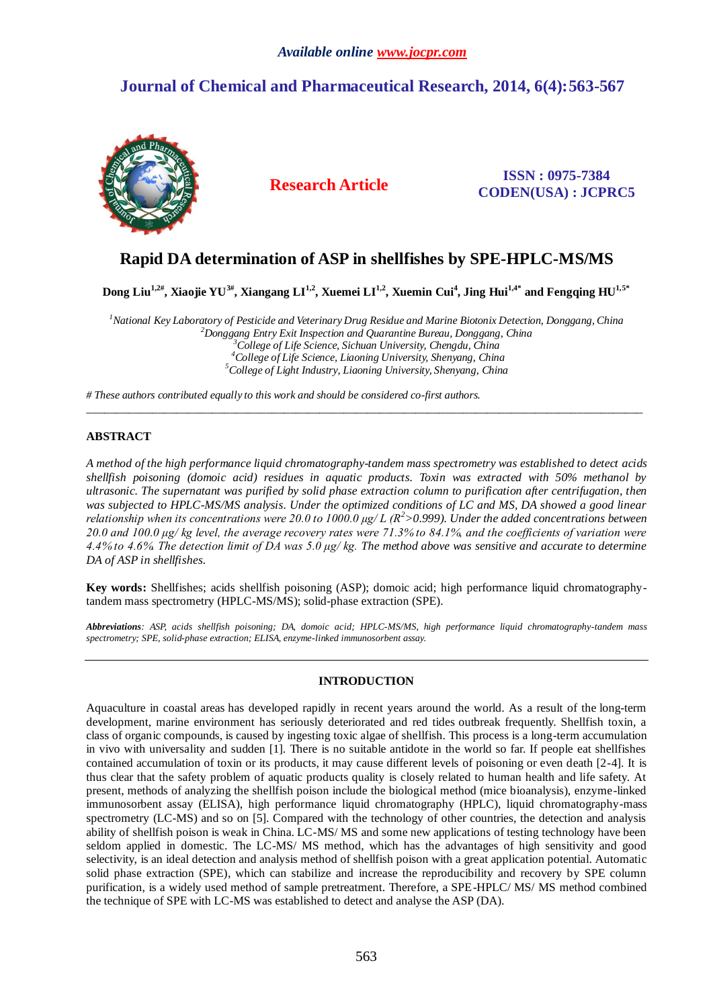# *Available online www.jocpr.com*

# **Journal of Chemical and Pharmaceutical Research, 2014, 6(4):563-567**



**Research Article ISSN : 0975-7384 CODEN(USA) : JCPRC5**

# **Rapid DA determination of ASP in shellfishes by SPE-HPLC-MS/MS**

 $\rm{Dom}$  Liu $^{\rm{1,2#}},$  Xiaojie YU $^{\rm{3#}},$  Xiangang LI $^{\rm{1,2}},$  Xuemei LI $^{\rm{1,2}},$  Xuemin Cui $^{\rm{4}},$  Jing Hui $^{\rm{1,4*}}$  and Fengqing HU $^{\rm{1,5*}}$ 

*National Key Laboratory of Pesticide and Veterinary Drug Residue and Marine Biotonix Detection, Donggang, China Donggang Entry Exit Inspection and Quarantine Bureau, Donggang, China College of Life Science, Sichuan University, Chengdu, China College of Life Science, Liaoning University, Shenyang, China College of Light Industry, Liaoning University, Shenyang, China*

\_\_\_\_\_\_\_\_\_\_\_\_\_\_\_\_\_\_\_\_\_\_\_\_\_\_\_\_\_\_\_\_\_\_\_\_\_\_\_\_\_\_\_\_\_\_\_\_\_\_\_\_\_\_\_\_\_\_\_\_\_\_\_\_\_\_\_\_\_\_\_\_\_\_\_\_\_\_\_\_\_\_\_\_\_\_\_\_\_\_\_\_\_

*# These authors contributed equally to this work and should be considered co-first authors.*

# **ABSTRACT**

*A method of the high performance liquid chromatography-tandem mass spectrometry was established to detect acids shellfish poisoning (domoic acid) residues in aquatic products. Toxin was extracted with 50% methanol by ultrasonic. The supernatant was purified by solid phase extraction column to purification after centrifugation, then*  was subjected to HPLC-MS/MS analysis. Under the optimized conditions of LC and MS, DA showed a good linear *relationship when its concentrations were 20.0 to 1000.0*  $\mu$ *g/L (R<sup>2</sup>>0.999). Under the added concentrations between 20.0 and 100.0 μg/ kg level, the average recovery rates were 71.3% to 84.1%, and the coefficients of variation were 4.4% to 4.6%. The detection limit of DA was 5.0 μg/ kg. The method above was sensitive and accurate to determine DA of ASP in shellfishes.*

**Key words:** Shellfishes; acids shellfish poisoning (ASP); domoic acid; high performance liquid chromatographytandem mass spectrometry (HPLC-MS/MS); solid-phase extraction (SPE).

*Abbreviations: ASP, acids shellfish poisoning; DA, domoic acid; HPLC-MS/MS, high performance liquid chromatography-tandem mass spectrometry; SPE, solid-phase extraction; ELISA, enzyme-linked immunosorbent assay.*

## **INTRODUCTION**

Aquaculture in coastal areas has developed rapidly in recent years around the world. As a result of the long-term development, marine environment has seriously deteriorated and red tides outbreak frequently. Shellfish toxin, a class of organic compounds, is caused by ingesting toxic algae of shellfish. This process is a long-term accumulation in vivo with universality and sudden [1]. There is no suitable antidote in the world so far. If people eat shellfishes contained accumulation of toxin or its products, it may cause different levels of poisoning or even death [2-4]. It is thus clear that the safety problem of aquatic products quality is closely related to human health and life safety. At present, methods of analyzing the shellfish poison include the biological method (mice bioanalysis), enzyme-linked immunosorbent assay (ELISA), high performance liquid chromatography (HPLC), liquid chromatography-mass spectrometry (LC-MS) and so on [5]. Compared with the technology of other countries, the detection and analysis ability of shellfish poison is weak in China. LC-MS/ MS and some new applications of testing technology have been seldom applied in domestic. The LC-MS/ MS method, which has the advantages of high sensitivity and good selectivity, is an ideal detection and analysis method of shellfish poison with a great application potential. Automatic solid phase extraction (SPE), which can stabilize and increase the reproducibility and recovery by SPE column purification, is a widely used method of sample pretreatment. Therefore, a SPE-HPLC/ MS/ MS method combined the technique of SPE with LC-MS was established to detect and analyse the ASP (DA).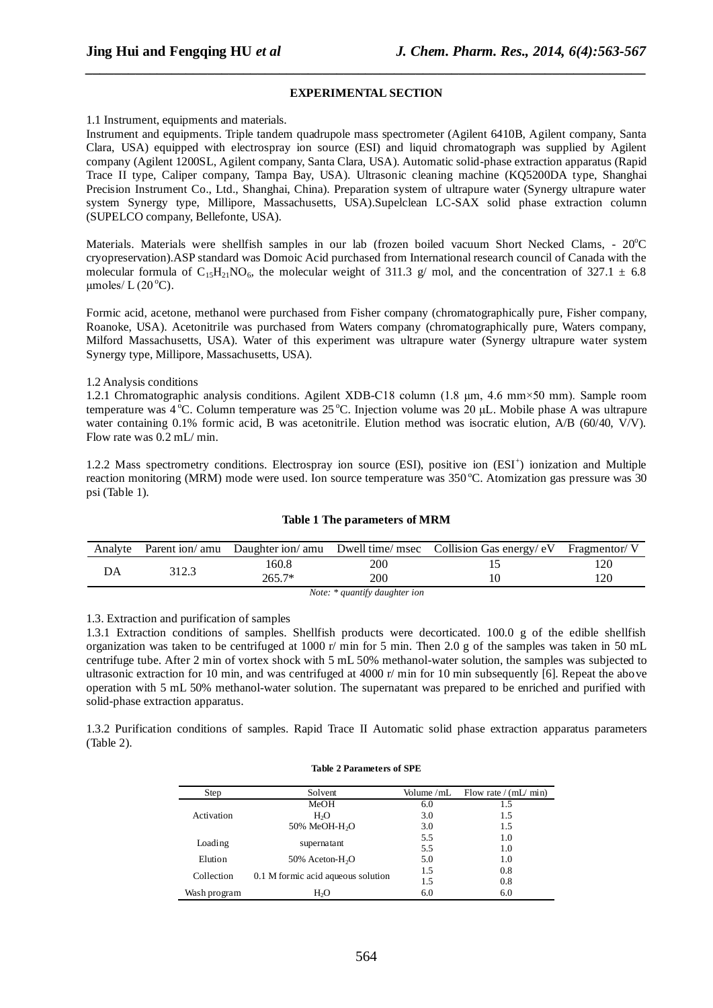### **EXPERIMENTAL SECTION**

*\_\_\_\_\_\_\_\_\_\_\_\_\_\_\_\_\_\_\_\_\_\_\_\_\_\_\_\_\_\_\_\_\_\_\_\_\_\_\_\_\_\_\_\_\_\_\_\_\_\_\_\_\_\_\_\_\_\_\_\_\_\_\_\_\_\_\_\_\_\_\_\_\_\_\_\_\_\_*

1.1 Instrument, equipments and materials.

Instrument and equipments. Triple tandem quadrupole mass spectrometer (Agilent 6410B, Agilent company, Santa Clara, USA) equipped with electrospray ion source (ESI) and liquid chromatograph was supplied by Agilent company (Agilent 1200SL, Agilent company, Santa Clara, USA). Automatic solid-phase extraction apparatus (Rapid Trace II type, Caliper company, Tampa Bay, USA). Ultrasonic cleaning machine [\(KQ5200DA](http://www.canytec.com.cn/product_detail.aspx?product_id=10823) type, Shanghai Precision Instrument Co., Ltd., Shanghai, China). Preparation system of ultrapure water (Synergy ultrapure water system Synergy type, Millipore, Massachusetts, USA).Supelclean LC-SAX solid phase extraction column (SUPELCO company, Bellefonte, USA).

Materials. Materials were shellfish samples in our lab (frozen boiled vacuum Short Necked Clams. - 20°C) cryopreservation).ASP standard was Domoic Acid purchased from International research council of Canada with the molecular formula of  $C_15H_2NO_6$ , the molecular weight of 311.3 g/ mol, and the concentration of 327.1  $\pm$  6.8 umoles/  $L(20<sup>o</sup>C)$ .

Formic acid, acetone, methanol were purchased from Fisher company (chromatographically pure, Fisher company, Roanoke, USA). Acetonitrile was purchased from Waters company (chromatographically pure, Waters company, Milford Massachusetts, USA). Water of this experiment was ultrapure water (Synergy ultrapure water system Synergy type, Millipore, Massachusetts, USA).

### 1.2 Analysis conditions

1.2.1 Chromatographic analysis conditions. Agilent XDB-C18 column (1.8 μm, 4.6 mm×50 mm). Sample room temperature was  $4^{\circ}$ C. Column temperature was  $25^{\circ}$ C. Injection volume was  $20 \mu$ L. Mobile phase A was ultrapure water containing 0.1% formic acid, B was acetonitrile. Elution method was isocratic elution, A/B (60/40, V/V). Flow rate was 0.2 mL/ min.

1.2.2 Mass spectrometry conditions. Electrospray ion source (ESI), positive ion (ESI<sup>+</sup>) ionization and Multiple reaction monitoring (MRM) mode were used. Ion source temperature was 350 °C. Atomization gas pressure was 30 psi (Table 1).

## **Table 1 The parameters of MRM**

|                               |       |          |     | Analyte Parent ion/ amu Daughter ion/ amu Dwell time/ msec Collision Gas energy/ eV Fragmentor/ V |    |  |  |
|-------------------------------|-------|----------|-----|---------------------------------------------------------------------------------------------------|----|--|--|
|                               | 312.3 | .60.8    | 200 |                                                                                                   | 20 |  |  |
|                               |       | $265.7*$ | 200 |                                                                                                   | 20 |  |  |
| Note: * quantify daughter ion |       |          |     |                                                                                                   |    |  |  |

#### 1.3. Extraction and purification of samples

1.3.1 Extraction conditions of samples. Shellfish products were decorticated. 100.0 g of the edible shellfish organization was taken to be centrifuged at 1000 r/ min for 5 min. Then 2.0 g of the samples was taken in 50 mL centrifuge tube. After 2 min of vortex shock with 5 mL 50% methanol-water solution, the samples was subjected to ultrasonic extraction for 10 min, and was centrifuged at 4000 r/ min for 10 min subsequently [6]. Repeat the above operation with 5 mL 50% methanol-water solution. The supernatant was prepared to be enriched and purified with solid-phase extraction apparatus.

1.3.2 Purification conditions of samples. Rapid Trace II Automatic solid phase extraction apparatus parameters (Table 2).

# **Table 2 Parameters of SPE**

| Step         | Solvent                            | Volume /mL | Flow rate $/(mL/mn)$ |
|--------------|------------------------------------|------------|----------------------|
|              | MeOH                               | 6.0        | 1.5                  |
| Activation   | H <sub>2</sub> O                   | 3.0        | 1.5                  |
|              | 50% MeOH-H <sub>2</sub> O          | 3.0        | 1.5                  |
|              |                                    | 5.5        | 1.0                  |
| Loading      | supernatant                        | 5.5        | 1.0                  |
| Elution      | 50% Aceton-H <sub>2</sub> O        | 5.0        | 1.0                  |
| Collection   |                                    | 1.5        | 0.8                  |
|              | 0.1 M formic acid aqueous solution | 1.5        | 0.8                  |
| Wash program | H <sub>2</sub> O                   | 6.0        | 6.0                  |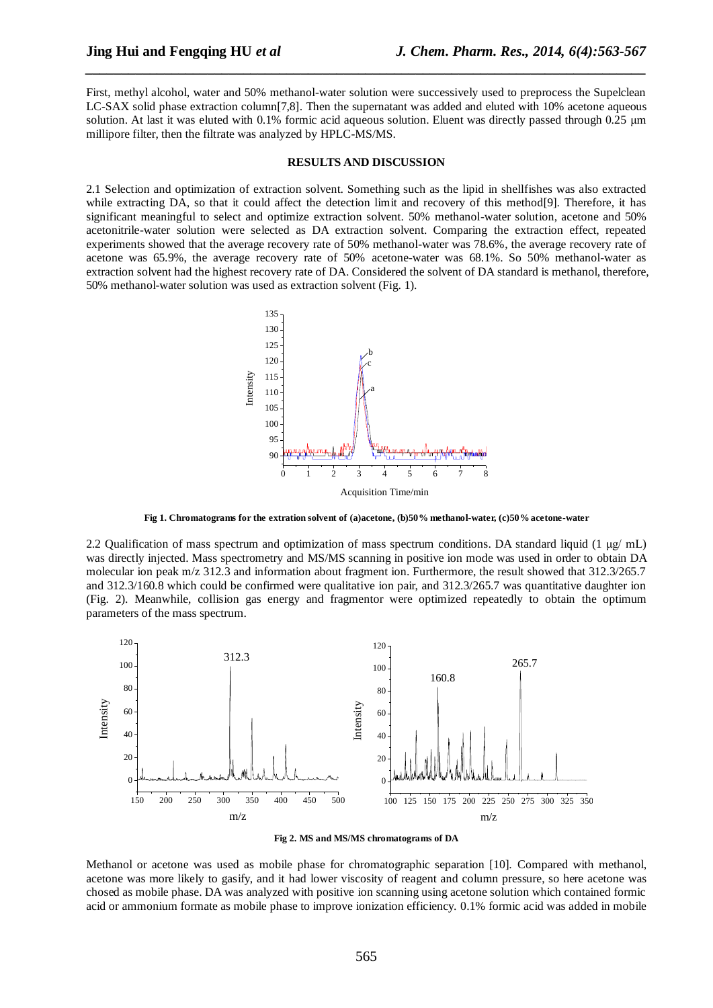First, methyl alcohol, water and 50% methanol-water solution were successively used to preprocess the Supelclean LC-SAX solid phase extraction column[7,8]. Then the supernatant was added and eluted with 10% acetone aqueous solution. At last it was eluted with 0.1% formic acid aqueous solution. Eluent was directly passed through 0.25 μm millipore filter, then the filtrate was analyzed by HPLC-MS/MS.

*\_\_\_\_\_\_\_\_\_\_\_\_\_\_\_\_\_\_\_\_\_\_\_\_\_\_\_\_\_\_\_\_\_\_\_\_\_\_\_\_\_\_\_\_\_\_\_\_\_\_\_\_\_\_\_\_\_\_\_\_\_\_\_\_\_\_\_\_\_\_\_\_\_\_\_\_\_\_*

#### **RESULTS AND DISCUSSION**

2.1 Selection and optimization of extraction solvent. Something such as the lipid in shellfishes was also extracted while extracting DA, so that it could affect the detection limit and recovery of this method[9]. Therefore, it has significant meaningful to select and optimize extraction solvent. 50% methanol-water solution, acetone and 50% acetonitrile-water solution were selected as DA extraction solvent. Comparing the extraction effect, repeated experiments showed that the average recovery rate of 50% methanol-water was 78.6%, the average recovery rate of acetone was 65.9%, the average recovery rate of 50% acetone-water was 68.1%. So 50% methanol-water as extraction solvent had the highest recovery rate of DA. Considered the solvent of DA standard is methanol, therefore, 50% methanol-water solution was used as extraction solvent (Fig. 1).



**Fig 1. Chromatograms for the extration solvent of (a)acetone, (b)50% methanol-water, (c)50% acetone-water**

2.2 Qualification of mass spectrum and optimization of mass spectrum conditions. DA standard liquid (1 µg/ mL) was directly injected. Mass spectrometry and MS/MS scanning in positive ion mode was used in order to obtain DA molecular ion peak m/z 312.3 and information about fragment ion. Furthermore, the result showed that 312.3/265.7 and 312.3/160.8 which could be confirmed were qualitative ion pair, and 312.3/265.7 was quantitative daughter ion (Fig. 2). Meanwhile, collision gas energy and fragmentor were optimized repeatedly to obtain the optimum parameters of the mass spectrum.



**Fig 2. MS and MS/MS chromatograms of DA**

Methanol or acetone was used as mobile phase for chromatographic separation [10]. Compared with methanol, acetone was more likely to gasify, and it had lower viscosity of reagent and column pressure, so here acetone was chosed as mobile phase. DA was analyzed with positive ion scanning using acetone solution which contained formic acid or ammonium formate as mobile phase to improve ionization efficiency. 0.1% formic acid was added in mobile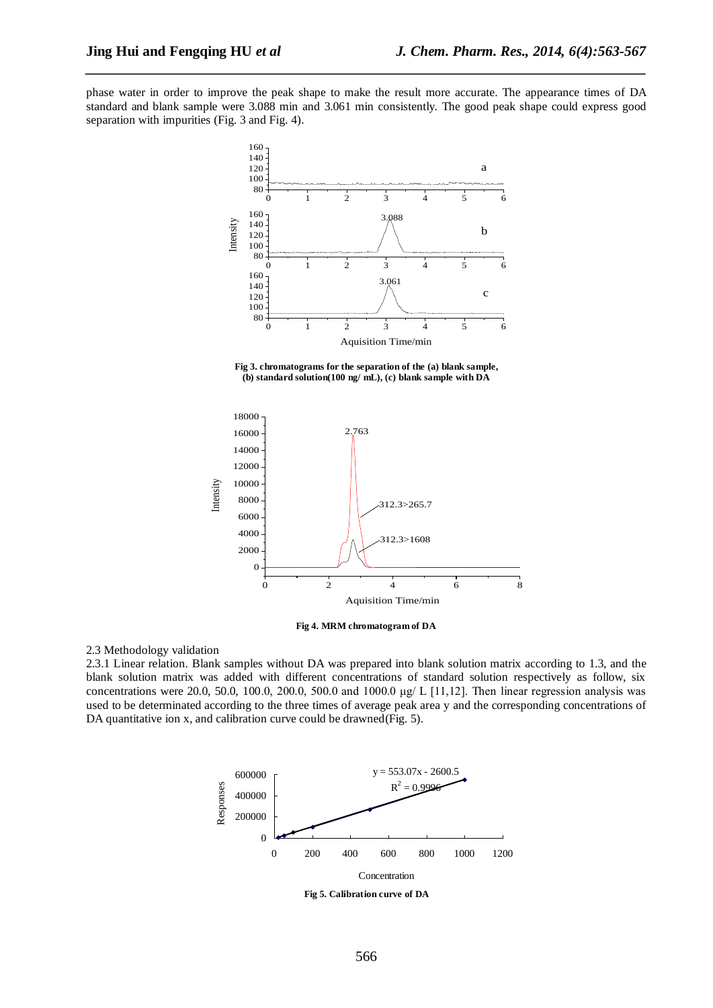phase water in order to improve the peak shape to make the result more accurate. The appearance times of DA standard and blank sample were 3.088 min and 3.061 min consistently. The good peak shape could express good separation with impurities (Fig. 3 and Fig. 4).

*\_\_\_\_\_\_\_\_\_\_\_\_\_\_\_\_\_\_\_\_\_\_\_\_\_\_\_\_\_\_\_\_\_\_\_\_\_\_\_\_\_\_\_\_\_\_\_\_\_\_\_\_\_\_\_\_\_\_\_\_\_\_\_\_\_\_\_\_\_\_\_\_\_\_\_\_\_\_*



**Fig 3. chromatograms for the separation of the (a) blank sample, (b) standard solution(100 ng/ mL), (c) blank sample with DA**





2.3 Methodology validation

2.3.1 Linear relation. Blank samples without DA was prepared into blank solution matrix according to 1.3, and the blank solution matrix was added with different concentrations of standard solution respectively as follow, six concentrations were 20.0, 50.0, 100.0, 200.0, 500.0 and 1000.0  $\mu$ g/ L [11,12]. Then linear regression analysis was used to be determinated according to the three times of average peak area y and the corresponding concentrations of DA quantitative ion x, and calibration curve could be drawned(Fig. 5).



**Fig 5. Calibration curve of DA**